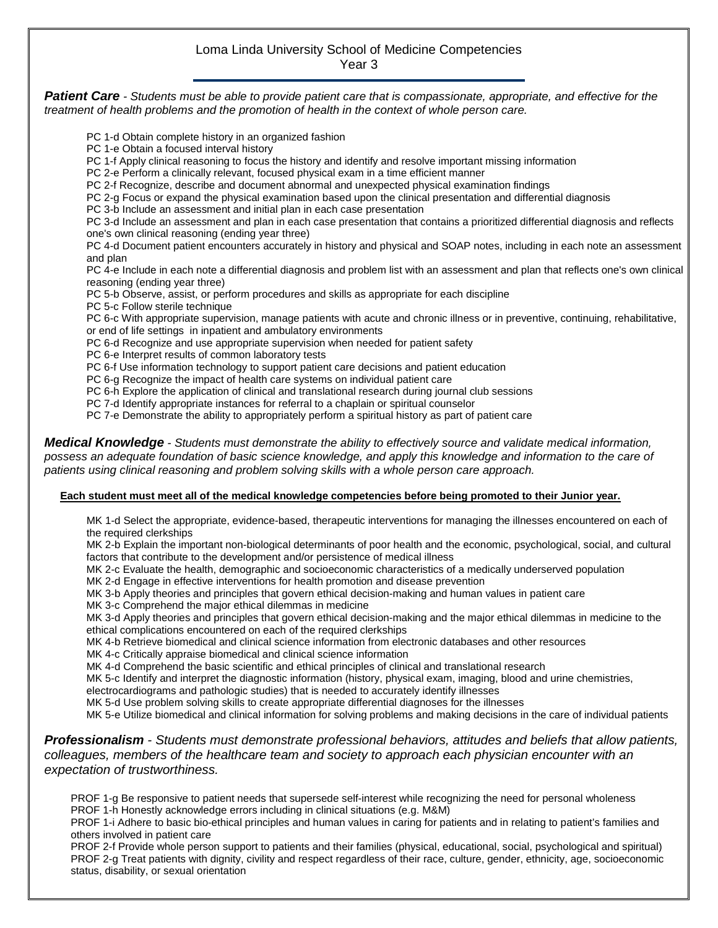## Loma Linda University School of Medicine Competencies Year 3

*Patient Care - Students must be able to provide patient care that is compassionate, appropriate, and effective for the treatment of health problems and the promotion of health in the context of whole person care.*

PC 1-d Obtain complete history in an organized fashion

PC 1-e Obtain a focused interval history

PC 1-f Apply clinical reasoning to focus the history and identify and resolve important missing information

PC 2-e Perform a clinically relevant, focused physical exam in a time efficient manner

PC 2-f Recognize, describe and document abnormal and unexpected physical examination findings

PC 2-g Focus or expand the physical examination based upon the clinical presentation and differential diagnosis

PC 3-b Include an assessment and initial plan in each case presentation

PC 3-d Include an assessment and plan in each case presentation that contains a prioritized differential diagnosis and reflects one's own clinical reasoning (ending year three)

PC 4-d Document patient encounters accurately in history and physical and SOAP notes, including in each note an assessment and plan

PC 4-e Include in each note a differential diagnosis and problem list with an assessment and plan that reflects one's own clinical reasoning (ending year three)

PC 5-b Observe, assist, or perform procedures and skills as appropriate for each discipline

PC 5-c Follow sterile technique

PC 6-c With appropriate supervision, manage patients with acute and chronic illness or in preventive, continuing, rehabilitative, or end of life settings in inpatient and ambulatory environments

PC 6-d Recognize and use appropriate supervision when needed for patient safety

PC 6-e Interpret results of common laboratory tests

PC 6-f Use information technology to support patient care decisions and patient education

PC 6-g Recognize the impact of health care systems on individual patient care

PC 6-h Explore the application of clinical and translational research during journal club sessions

PC 7-d Identify appropriate instances for referral to a chaplain or spiritual counselor

PC 7-e Demonstrate the ability to appropriately perform a spiritual history as part of patient care

*Medical Knowledge - Students must demonstrate the ability to effectively source and validate medical information, possess an adequate foundation of basic science knowledge, and apply this knowledge and information to the care of patients using clinical reasoning and problem solving skills with a whole person care approach.*

## **Each student must meet all of the medical knowledge competencies before being promoted to their Junior year.**

MK 1-d Select the appropriate, evidence-based, therapeutic interventions for managing the illnesses encountered on each of the required clerkships

MK 2-b Explain the important non-biological determinants of poor health and the economic, psychological, social, and cultural factors that contribute to the development and/or persistence of medical illness

MK 2-c Evaluate the health, demographic and socioeconomic characteristics of a medically underserved population

MK 2-d Engage in effective interventions for health promotion and disease prevention

MK 3-b Apply theories and principles that govern ethical decision-making and human values in patient care

MK 3-c Comprehend the major ethical dilemmas in medicine

MK 3-d Apply theories and principles that govern ethical decision-making and the major ethical dilemmas in medicine to the ethical complications encountered on each of the required clerkships

MK 4-b Retrieve biomedical and clinical science information from electronic databases and other resources

MK 4-c Critically appraise biomedical and clinical science information

MK 4-d Comprehend the basic scientific and ethical principles of clinical and translational research

MK 5-c Identify and interpret the diagnostic information (history, physical exam, imaging, blood and urine chemistries,

electrocardiograms and pathologic studies) that is needed to accurately identify illnesses

MK 5-d Use problem solving skills to create appropriate differential diagnoses for the illnesses

MK 5-e Utilize biomedical and clinical information for solving problems and making decisions in the care of individual patients

## *Professionalism - Students must demonstrate professional behaviors, attitudes and beliefs that allow patients, colleagues, members of the healthcare team and society to approach each physician encounter with an expectation of trustworthiness.*

PROF 1-g Be responsive to patient needs that supersede self-interest while recognizing the need for personal wholeness PROF 1-h Honestly acknowledge errors including in clinical situations (e.g. M&M)

PROF 1-i Adhere to basic bio-ethical principles and human values in caring for patients and in relating to patient's families and others involved in patient care

PROF 2-f Provide whole person support to patients and their families (physical, educational, social, psychological and spiritual) PROF 2-g Treat patients with dignity, civility and respect regardless of their race, culture, gender, ethnicity, age, socioeconomic status, disability, or sexual orientation